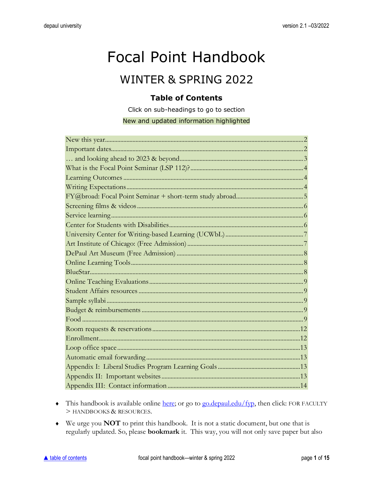# <span id="page-0-0"></span>**Focal Point Handbook**

# **WINTER & SPRING 2022**

# **Table of Contents**

Click on sub-headings to go to section

New and updated information highlighted

- This handbook is available online here; or go to go.depaul.edu/fyp, then click: FOR FACULTY > HANDBOOKS & RESOURCES.
- We urge you NOT to print this handbook. It is not a static document, but one that is regularly updated. So, please **bookmark** it. This way, you will not only save paper but also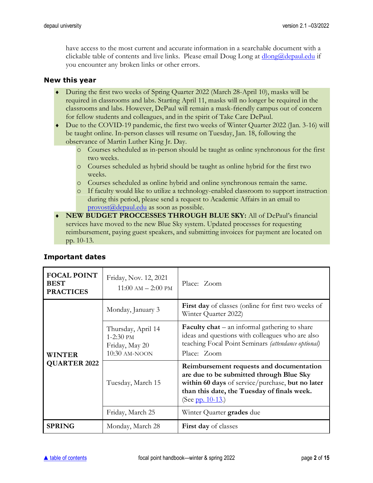have access to the most current and accurate information in a searchable document with a clickable table of contents and live links. Please email Doug Long at  $\underline{dlog}(d$  depaul.edu if you encounter any broken links or other errors.

#### <span id="page-1-0"></span>**New this year**

- During the first two weeks of Spring Quarter 2022 (March 28-April 10), masks will be required in classrooms and labs. Starting April 11, masks will no longer be required in the classrooms and labs. However, DePaul will remain a mask-friendly campus out of concern for fellow students and colleagues, and in the spirit of Take Care DePaul.
- Due to the COVID-19 pandemic, the first two weeks of Winter Quarter 2022 (Jan. 3-16) will be taught online. In-person classes will resume on Tuesday, Jan. 18, following the observance of Martin Luther King Jr. Day.
	- o Courses scheduled as in-person should be taught as online synchronous for the first two weeks.
	- o Courses scheduled as hybrid should be taught as online hybrid for the first two weeks.
	- o Courses scheduled as online hybrid and online synchronous remain the same.
	- o If faculty would like to utilize a technology-enabled classroom to support instruction during this period, please send a request to Academic Affairs in an email to [provost@depaul.edu](mailto:provost@depaul.edu) as soon as possible.
- **NEW BUDGET PROCCESSES THROUGH BLUE SKY:** All of DePaul's financial services have moved to the new Blue Sky system. Updated processes for requesting reimbursement, paying guest speakers, and submitting invoices for payment are located on pp. 10-13.

| <b>FOCAL POINT</b><br><b>BEST</b><br><b>PRACTICES</b> | Friday, Nov. 12, 2021<br>$11:00 \text{ AM} - 2:00 \text{ PM}$        | Place: Zoom                                                                                                                                                                                                 |  |
|-------------------------------------------------------|----------------------------------------------------------------------|-------------------------------------------------------------------------------------------------------------------------------------------------------------------------------------------------------------|--|
| <b>WINTER</b><br><b>QUARTER 2022</b>                  | Monday, January 3                                                    | <b>First day</b> of classes (online for first two weeks of<br>Winter Quarter 2022)                                                                                                                          |  |
|                                                       | Thursday, April 14<br>$1-2:30$ PM<br>Friday, May 20<br>10:30 AM-NOON | <b>Faculty chat</b> $-$ an informal gathering to share<br>ideas and questions with colleagues who are also<br>teaching Focal Point Seminars (attendance optional)<br>Place: Zoom                            |  |
|                                                       | Tuesday, March 15                                                    | Reimbursement requests and documentation<br>are due to be submitted through Blue Sky<br>within 60 days of service/purchase, but no later<br>than this date, the Tuesday of finals week.<br>(See pp. 10-13.) |  |
|                                                       | Friday, March 25                                                     | Winter Quarter grades due                                                                                                                                                                                   |  |
| <b>SPRING</b>                                         | Monday, March 28                                                     | <b>First day</b> of classes                                                                                                                                                                                 |  |

### <span id="page-1-1"></span>**Important dates**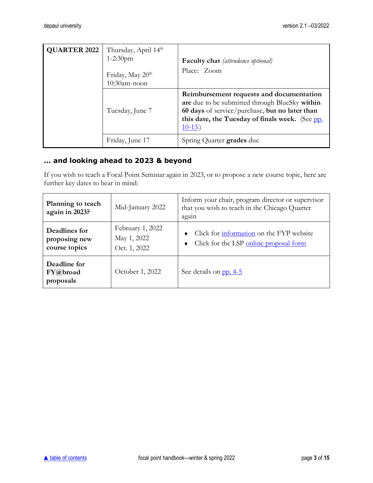| <b>QUARTER 2022</b> | Thursday, April 14 <sup>th</sup><br>$1 - 2:30$ pm<br>Friday, May 20 <sup>th</sup><br>10:30am-noon | <b>Faculty chat</b> (attendance optional)<br>Place: Zoom                                                                                                                                                    |
|---------------------|---------------------------------------------------------------------------------------------------|-------------------------------------------------------------------------------------------------------------------------------------------------------------------------------------------------------------|
|                     | Tuesday, June 7                                                                                   | Reimbursement requests and documentation<br>are due to be submitted through BlueSky within<br>60 days of service/purchase, but no later than<br>this date, the Tuesday of finals week. (See pp.<br>$10-13.$ |
|                     | Friday, June 17                                                                                   | Spring Quarter grades due                                                                                                                                                                                   |

# <span id="page-2-0"></span>**… and looking ahead to 2023 & beyond**

If you wish to teach a Focal Point Seminar again in 2023, or to propose a new course topic, here are further key dates to bear in mind:

| Planning to teach<br>again in 2023?             | Mid-January 2022                                | Inform your chair, program director or supervisor<br>that you wish to teach in the Chicago Quarter<br>again |  |
|-------------------------------------------------|-------------------------------------------------|-------------------------------------------------------------------------------------------------------------|--|
| Deadlines for<br>proposing new<br>course topics | February 1, 2022<br>May 1, 2022<br>Oct. 1, 2022 | Click for information on the FYP website<br>Click for the LSP online proposal form                          |  |
| Deadline for<br>FY@broad<br>proposals           | October 1, 2022                                 | See details on pp. 4-5                                                                                      |  |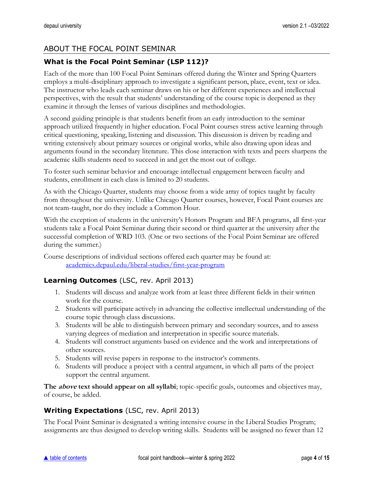# ABOUT THE FOCAL POINT SEMINAR

# <span id="page-3-0"></span>**What is the Focal Point Seminar (LSP 112)?**

Each of the more than 100 Focal Point Seminars offered during the Winter and Spring Quarters employs a multi-disciplinary approach to investigate a significant person, place, event, text or idea. The instructor who leads each seminar draws on his or her different experiences and intellectual perspectives, with the result that students' understanding of the course topic is deepened as they examine it through the lenses of various disciplines and methodologies.

A second guiding principle is that students benefit from an early introduction to the seminar approach utilized frequently in higher education. Focal Point courses stress active learning through critical questioning, speaking, listening and discussion. This discussion is driven by reading and writing extensively about primary sources or original works, while also drawing upon ideas and arguments found in the secondary literature. This close interaction with texts and peers sharpens the academic skills students need to succeed in and get the most out of college.

To foster such seminar behavior and encourage intellectual engagement between faculty and students, enrollment in each class is limited to 20 students.

As with the Chicago Quarter, students may choose from a wide array of topics taught by faculty from throughout the university. Unlike Chicago Quarter courses, however, Focal Point courses are not team-taught, nor do they include a Common Hour.

With the exception of students in the university's Honors Program and BFA programs, all first-year students take a Focal Point Seminar during their second or third quarter at the university after the successful completion of WRD 103. (One or two sections of the Focal Point Seminar are offered during the summer.)

Course descriptions of individual sections offered each quarter may be found at: [academics.depaul.edu/liberal-studies/first-year-program](http://academics.depaul.edu/liberal-studies/first-year-program/Pages/course-descriptions.aspx)

### <span id="page-3-1"></span>**Learning Outcomes** (LSC, rev. April 2013)

- 1. Students will discuss and analyze work from at least three different fields in their written work for the course.
- 2. Students will participate actively in advancing the collective intellectual understanding of the course topic through class discussions.
- 3. Students will be able to distinguish between primary and secondary sources, and to assess varying degrees of mediation and interpretation in specific source materials.
- 4. Students will construct arguments based on evidence and the work and interpretations of other sources.
- 5. Students will revise papers in response to the instructor's comments.
- 6. Students will produce a project with a central argument, in which all parts of the project support the central argument.

**The above text should appear on all syllabi**; topic-specific goals, outcomes and objectives may, of course, be added.

# <span id="page-3-2"></span>**Writing Expectations** (LSC, rev. April 2013)

The Focal Point Seminar is designated a writing intensive course in the Liberal Studies Program; assignments are thus designed to develop writing skills. Students will be assigned no fewer than 12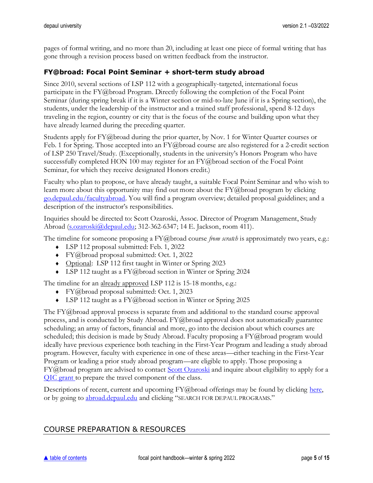pages of formal writing, and no more than 20, including at least one piece of formal writing that has gone through a revision process based on written feedback from the instructor.

# <span id="page-4-0"></span>**FY@broad: Focal Point Seminar + short-term study abroad**

Since 2010, several sections of LSP 112 with a geographically-targeted, international focus participate in the FY@broad Program. Directly following the completion of the Focal Point Seminar (during spring break if it is a Winter section or mid-to-late June if it is a Spring section), the students, under the leadership of the instructor and a trained staff professional, spend 8-12 days traveling in the region, country or city that is the focus of the course and building upon what they have already learned during the preceding quarter.

Students apply for FY@broad during the prior quarter, by Nov. 1 for Winter Quarter courses or Feb. 1 for Spring. Those accepted into an FY@broad course are also registered for a 2-credit section of LSP 250 Travel/Study. (Exceptionally, students in the university's Honors Program who have successfully completed HON 100 may register for an  $FY@broad$  section of the Focal Point Seminar, for which they receive designated Honors credit.)

Faculty who plan to propose, or have already taught, a suitable Focal Point Seminar and who wish to learn more about this opportunity may find out more about the FY@broad program by clicking [go.depaul.edu/facultyabroad.](https://go.depaul.edu/facultyabroad) You will find a program overview; detailed proposal guidelines; and a description of the instructor's responsibilities.

Inquiries should be directed to: Scott Ozaroski, Assoc. Director of Program Management, Study Abroad [\(s.ozaroski@depaul.edu;](mailto:s.ozaroski@depaul.edu) 312-362-6347; 14 E. Jackson, room 411).

The timeline for someone proposing a FY@broad course *from scratch* is approximately two years, e.g.:

- LSP 112 proposal submitted: Feb. 1, 2022
- FY@broad proposal submitted: Oct. 1, 2022
- ◆ Optional: LSP 112 first taught in Winter or Spring 2023
- $\triangleleft$  LSP 112 taught as a FY@ broad section in Winter or Spring 2024

The timeline for an already approved LSP 112 is 15-18 months, e.g.:

- FY@broad proposal submitted: Oct. 1, 2023
- LSP 112 taught as a FY@broad section in Winter or Spring 2025

The FY@broad approval process is separate from and additional to the standard course approval process, and is conducted by Study Abroad.  $FY@broad$  approval does not automatically guarantee scheduling; an array of factors, financial and more, go into the decision about which courses are scheduled; this decision is made by Study Abroad. Faculty proposing a FY@broad program would ideally have previous experience both teaching in the First-Year Program and leading a study abroad program. However, faculty with experience in one of these areas—either teaching in the First-Year Program or leading a prior study abroad program—are eligible to apply. Those proposing a FY@broad program are advised to contact [Scott Ozaroski](mailto:s.ozaroski@depaul.edu) and inquire about eligibility to apply for a [QIC grant](https://offices.depaul.edu/academic-affairs/faculty-resources/teaching/qic/Pages/competitive-instructional.aspx) to prepare the travel component of the class.

Descriptions of recent, current and upcoming FY@broad offerings may be found by clicking [here,](https://offices.depaul.edu/global-engagement/student-resources/study-abroad/search-depaul-programs/Pages/FYabroad-programs-first-year-students.aspx) or by going to **abroad.depaul.edu** and clicking "SEARCH FOR DEPAUL PROGRAMS."

# COURSE PREPARATION & RESOURCES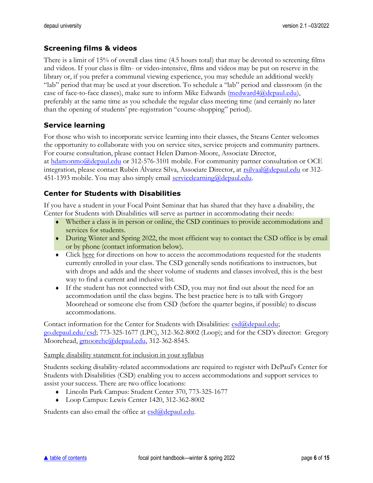### <span id="page-5-0"></span>**Screening films & videos**

There is a limit of 15% of overall class time (4.5 hours total) that may be devoted to screening films and videos. If your class is film- or video-intensive, films and videos may be put on reserve in the library or, if you prefer a communal viewing experience, you may schedule an additional weekly "lab" period that may be used at your discretion. To schedule a "lab" period and classroom (in the case of face-to-face classes), make sure to inform Mike Edwards [\(medward4@depaul.edu\)](mailto:medward4@depaul.edu), preferably at the same time as you schedule the regular class meeting time (and certainly no later than the opening of students' pre-registration "course-shopping" period).

# <span id="page-5-1"></span>**Service learning**

For those who wish to incorporate service learning into their classes, the Steans Center welcomes the opportunity to collaborate with you on service sites, service projects and community partners. For course consultation, please contact Helen Damon-Moore, Associate Director, at [hdamonmo@depaul.edu](mailto:hdamonmo@depaul.edu) or 312-576-3101 mobile. For community partner consultation or OCE integration, please contact Rubén Álvarez Silva, Associate Director, at [rsilvaal@depaul.edu](mailto:rsilvaal@depaul.edu) or 312451-1393 mobile. You may also simply email [servicelearning@depaul.edu.](mailto:servicelearning@depaul.edu)

# <span id="page-5-2"></span>**Center for Students with Disabilities**

If you have a student in your Focal Point Seminar that has shared that they have a disability, the Center for Students with Disabilities will serve as partner in accommodating their needs:

- Whether a class is in person or online, the CSD continues to provide accommodations and services for students.
- During Winter and Spring 2022, the most efficient way to contact the CSD office is by email or by phone (contact information below).
- Clic[k here](https://offices.depaul.edu/student-affairs/resources/faculty-staff/faculty-questions/Documents/CSD_FACULTY_DATABASE_INSTRUCTIONS.pdf) for directions on how to access the accommodations requested for the students currently enrolled in your class. The CSD generally sends notifications to instructors, but with drops and adds and the sheer volume of students and classes involved, this is the best way to find a current and inclusive list.
- If the student has not connected with CSD, you may not find out about the need for an accommodation until the class begins. The best practice here is to talk with Gregory Moorehead or someone else from CSD (before the quarter begins, if possible) to discuss accommodations.

Contact information for the Center for Students with Disabilities:  $csd(\theta)$  depaul.edu; [go.depaul.edu/csd;](http://go.depaul.edu/csd) 773-325-1677 (LPC), 312-362-8002 (Loop); and for the CSD's director: Gregory Moorehead, [gmoorehe@depaul.edu,](mailto:gmoorehe@depaul.edu) 312-362-8545.

#### Sample disability statement for inclusion in your syllabus

Students seeking disability-related accommodations are required to register with DePaul's Center for Students with Disabilities (CSD) enabling you to access accommodations and support services to assist your success. There are two office locations:

- Lincoln Park Campus: Student Center 370, 773-325-1677
- Loop Campus: Lewis Center 1420, 312-362-8002

Students can also email the office at  $csd(\theta)$ depaul.edu.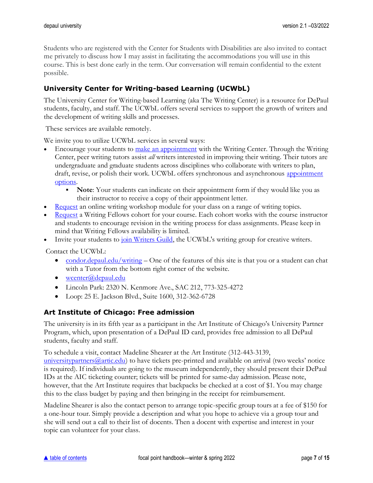Students who are registered with the Center for Students with Disabilities are also invited to contact me privately to discuss how I may assist in facilitating the accommodations you will use in this course. This is best done early in the term. Our conversation will remain confidential to the extent possible.

# <span id="page-6-0"></span>**University Center for Writing-based Learning (UCWbL)**

The University Center for Writing-based Learning (aka The Writing Center) is a resource for DePaul students, faculty, and staff. The UCWbL offers several services to support the growth of writers and the development of writing skills and processes.

These services are available remotely.

We invite you to utilize UCWbL services in several ways:

- Encourage your students to [make an appointment](http://depaul.mywconline.com/) with the Writing Center. Through the Writing Center, peer writing tutors assist *all* writers interested in improving their writing. Their tutors are undergraduate and graduate students across disciplines who collaborate with writers to plan, draft, revise, or polish their work. UCWbL offers synchronous and asynchronous [appointment](https://condor.depaul.edu/writing/programs-writing-center-appointment-types.html)  [options.](https://condor.depaul.edu/writing/programs-writing-center-appointment-types.html)
	- **Note**: Your students can indicate on their appointment form if they would like you as their instructor to receive a copy of their appointment letter.
- [Request](https://condor.depaul.edu/writing/programs-workshops-request-a-workshop.html) an online writing workshop module for your class on a range of writing topics.
- [Request](https://condor.depaul.edu/writing/programs-writing-fellows.html) a Writing Fellows cohort for your course. Each cohort works with the course instructor and students to encourage revision in the writing process for class assignments. Please keep in mind that Writing Fellows availability is limited.
- Invite your students to [join Writers Guild,](https://condor.depaul.edu/writing/programs-writing-center-writing-groups.html) the UCWbL's writing group for creative writers.

Contact the UCWbL:

- [condor.depaul.edu/writing](https://condor.depaul.edu/writing/) One of the features of this site is that you or a student can chat with a Tutor from the bottom right corner of the website.
- [wcenter@depaul.edu](mailto:wcenter@depaul.edu)
- Lincoln Park: 2320 N. Kenmore Ave., SAC 212, 773-325-4272
- Loop: 25 E. Jackson Blvd., Suite 1600, 312-362-6728

### <span id="page-6-1"></span>**Art Institute of Chicago: Free admission**

The university is in its fifth year as a participant in the Art Institute of Chicago's University Partner Program, which, upon presentation of a DePaul ID card, provides free admission to all DePaul students, faculty and staff.

To schedule a visit, contact Madeline Shearer at the Art Institute (312-443-3139,

university partners  $Q$  articledu) to have tickets pre-printed and available on arrival (two weeks' notice is required). If individuals are going to the museum independently, they should present their DePaul IDs at the AIC ticketing counter; tickets will be printed for same-day admission. Please note, however, that the Art Institute requires that backpacks be checked at a cost of \$1. You may charge this to the class budget by paying and then bringing in the receipt for reimbursement.

Madeline Shearer is also the contact person to arrange topic-specific group tours at a fee of \$150 for a one-hour tour. Simply provide a description and what you hope to achieve via a group tour and she will send out a call to their list of docents. Then a docent with expertise and interest in your topic can volunteer for your class.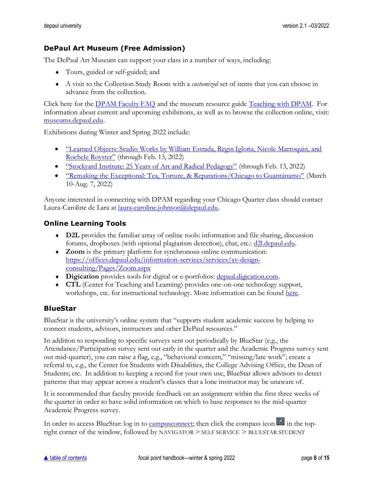# <span id="page-7-0"></span>**DePaul Art Museum (Free Admission)**

The DePaul Art Museum can support your class in a number of ways, including:

- Tours, guided or self-guided; and
- A visit to the Collection Study Room with a *customized* set of items that you can choose in advance from the collection.

Click here for the [DPAM Faculty FAQ](https://academics.depaul.edu/liberal-studies/first-year-program/for-faculty/Documents/2018-19/DPAM-FacultyFAQ-2018.pdf) and the museum resource guide [Teaching with DPAM.](https://academics.depaul.edu/liberal-studies/first-year-program/for-faculty/Documents/2018-19/TeachingwithDPAM.pdf) For information about current and upcoming exhibitions, as well as to browse the collection online, visit: [museums.depaul.edu.](http://museums.depaul.edu/)

Exhibitions during Winter and Spring 2022 include:

- ["Learned Objects: Studio Works by William Estrada, Regin Igloria, Nicole Marroquin, and](https://resources.depaul.edu/art-museum/exhibitions/learned-objects/Pages/default.aspx)  [Rochele Royster"](https://resources.depaul.edu/art-museum/exhibitions/learned-objects/Pages/default.aspx) (through Feb. 13, 2022)
- ["Stockyard Institute: 25 Years of Art and Radical Pedagogy"](https://resources.depaul.edu/art-museum/exhibitions/stockyard-institute/Pages/default.aspx) (through Feb. 13, 2022)
- ["Remaking the Exceptional: Tea, Torture, & Reparations/Chicago to Guantánamo"](https://resources.depaul.edu/art-museum/exhibitions/Pages/remaking-the-exceptional.aspx) (March 10-Aug. 7, 2022)

Anyone interested in connecting with DPAM regarding your Chicago Quarter class should contact Laura-Caroline de Lara at [laura-caroline.johnson@depaul.edu.](mailto:laura-caroline.johnson@depaul.edu)

### <span id="page-7-1"></span>**Online Learning Tools**

- **D2L** provides the familiar array of online tools: information and file sharing, discussion forums, dropboxes (with optional plagiarism detection), chat, etc.: [d2l.depaul.edu.](http://d2l.depaul.edu/)
- **Zoom** is the primary platform for synchronous online communication: [https://offices.depaul.edu/information-services/services/av-design](https://offices.depaul.edu/information-services/services/av-design-consulting/Pages/Zoom.aspx)[consulting/Pages/Zoom.aspx](https://offices.depaul.edu/information-services/services/av-design-consulting/Pages/Zoom.aspx)
- **Digication** provides tools for digital or e-portfolios: [depaul.digication.com.](http://depaul.digication.com/)
- **CTL** (Center for Teaching and Learning) provides one-on-one technology support, workshops, etc. for instructional technology. More information can be found [here.](https://offices.depaul.edu/center-teaching-learning/instructional-technology/Pages/default.aspx)

### <span id="page-7-2"></span>**BlueStar**

BlueStar is the university's online system that "supports student academic success by helping to connect students, advisors, instructors and other DePaul resources."

In addition to responding to specific surveys sent out periodically by BlueStar (e.g., the Attendance/Participation survey sent out early in the quarter and the Academic Progress survey sent out mid-quarter), you can raise a flag, e.g., "behavioral concern," "missing/late work"; create a referral to, e.g., the Center for Students with Disabilities, the College Advising Office, the Dean of Students; etc. In addition to keeping a record for your own use, BlueStar allows advisors to detect patterns that may appear across a student's classes that a lone instructor may be unaware of.

It is recommended that faculty provide feedback on an assignment within the first three weeks of the quarter in order to have solid information on which to base responses to the mid-quarter Academic Progress survey.

In order to access BlueStar: log in to [campusconnect;](http://campusconnect.depaul.edu/) then click the compass icon  $\circledcirc$  in the topright corner of the window, followed by NAVIGATOR > SELF SERVICE > BLUESTAR STUDENT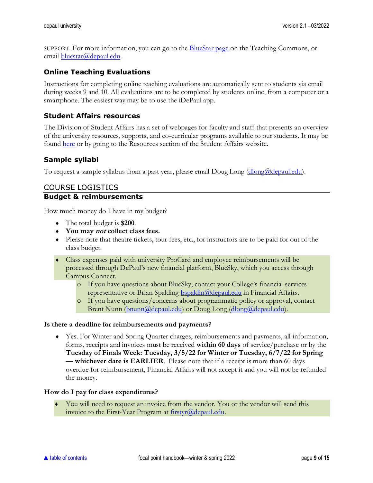SUPPORT. For more information, you can go to the [BlueStar page](https://resources.depaul.edu/teaching-commons/teaching-guides/technology/Pages/bluestar.aspx) on the Teaching Commons, or email [bluestar@depaul.edu.](mailto:bluestar@depaul.edu)

#### <span id="page-8-0"></span>**Online Teaching Evaluations**

Instructions for completing online teaching evaluations are automatically sent to students via email during weeks 9 and 10. All evaluations are to be completed by students online, from a computer or a smartphone. The easiest way may be to use the iDePaul app.

#### <span id="page-8-1"></span>**Student Affairs resources**

The Division of Student Affairs has a set of webpages for faculty and staff that presents an overview of the university resources, supports, and co-curricular programs available to our students. It may be found [here](https://offices.depaul.edu/student-affairs/resources/faculty-staff/Pages/default.aspx) or by going to the Resources section of the Student Affairs website.

#### <span id="page-8-2"></span>**Sample syllabi**

To request a sample syllabus from a past year, please email Doug Long [\(dlong@depaul.edu\)](mailto:dlong@depaul.edu).

# COURSE LOGISTICS

#### <span id="page-8-3"></span>**Budget & reimbursements**

How much money do I have in my budget?

- <span id="page-8-5"></span>The total budget is **\$200**.
- <span id="page-8-4"></span>**You may not collect class fees.**
- Please note that theatre tickets, tour fees, etc., for instructors are to be paid for out of the class budget.
- Class expenses paid with university ProCard and employee reimbursements will be processed through DePaul's new financial platform, BlueSky, which you access through Campus Connect.
	- o If you have questions about BlueSky, contact your College's financial services representative or Brian Spalding [bspaldin@depaul.edu](mailto:MANDE137@depaul.edu?subject=bspaldin@depaul.edu) in Financial Affairs.
	- o If you have questions/concerns about programmatic policy or approval, contact Brent Nunn [\(bnunn@depaul.edu\)](mailto:bnunn@depaul.edu) or Doug Long [\(dlong@depaul.edu\)](mailto:dlong@depaul.edu).

#### **Is there a deadline for reimbursements and payments?**

 Yes. For Winter and Spring Quarter charges, reimbursements and payments, all information, forms, receipts and invoices must be received **within 60 days** of service/purchase or by the **Tuesday of Finals Week: Tuesday, 3/5/22 for Winter or Tuesday, 6/7/22 for Spring — whichever date is EARLIER**. Please note that if a receipt is more than 60 days overdue for reimbursement, Financial Affairs will not accept it and you will not be refunded the money.

#### **How do I pay for class expenditures?**

You will need to request an invoice from the vendor. You or the vendor will send this invoice to the First-Year Program at [firstyr@depaul.edu.](mailto:firstyr@depaul.edu)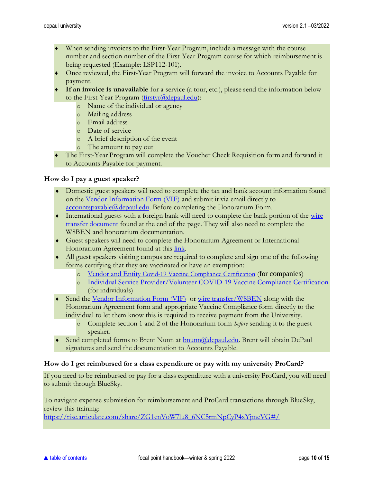- When sending invoices to the First-Year Program, include a message with the course number and section number of the First-Year Program course for which reimbursement is being requested (Example: LSP112-101).
- ♦ Once reviewed, the First-Year Program will forward the invoice to Accounts Payable for payment.
- **If an invoice is unavailable** for a service (a tour, etc.), please send the information below to the First-Year Program [\(firstyr@depaul.edu\)](mailto:firstyr@depaul.edu):
	- o Name of the individual or agency
	- o Mailing address
	- o Email address
	- o Date of service
	- o A brief description of the event
	- o The amount to pay out
- The First-Year Program will complete the Voucher Check Requisition form and forward it to Accounts Payable for payment.

#### **How do I pay a guest speaker?**

- Domestic guest speakers will need to complete the tax and bank account information found on the [Vendor Information Form \(VIF\)](https://financialaffairs.depaul.edu/forms/Vendor%20Information%20Form.pdf) and submit it via email directly to [accountspayable@depaul.edu.](mailto:accountspayable@depaul.edu) Before completing the Honorarium Form.
- International guests with a foreign bank will need to complete the bank portion of the [wire](https://financialaffairs.depaul.edu/forms/index.htm)  [transfer document](https://financialaffairs.depaul.edu/forms/index.htm) found at the end of the page. They will also need to complete the W8BEN and honorarium documentation.
- Guest speakers will need to complete the Honorarium Agreement or International Honorarium Agreement found at this [link.](https://financialaffairs.depaul.edu/payment/honorarium.htm)
- All guest speakers visiting campus are required to complete and sign one of the following forms certifying that they are vaccinated or have an exemption:
	- o [Vendor and Entity](https://resources.depaul.edu/coronavirus/resources/vaccine/Documents/Company%20Executive%20Order%20Annual%20Compliance%20Form%209.10.21.pdf) Covid[-19 Vaccine Compliance Certification](https://resources.depaul.edu/coronavirus/resources/vaccine/Documents/Company%20Executive%20Order%20Annual%20Compliance%20Form%209.10.21.pdf) (for companies)
	- o [Individual Service Provider/Volunteer COVID-19 Vaccine Compliance Certification](https://resources.depaul.edu/coronavirus/resources/vaccine/Documents/Individual%20Executive%20Order%20Annual%20Compliance%20Form%20Final%209.10.21.pdf) (for individuals)
- Send the [Vendor Information Form \(VIF\)](https://financialaffairs.depaul.edu/forms/Vendor%20Information%20Form.pdf) or [wire transfer/W8BEN](https://financialaffairs.depaul.edu/forms/index.htm) along with the Honorarium Agreement form and appropriate Vaccine Compliance form directly to the individual to let them know this is required to receive payment from the University.
	- o Complete section 1 and 2 of the Honorarium form *before* sending it to the guest speaker.
- ◆ Send completed forms to Brent Nunn at [bnunn@depaul.edu.](mailto:bnunn@depaul.edu) Brent will obtain DePaul signatures and send the documentation to Accounts Payable.

#### **How do I get reimbursed for a class expenditure or pay with my university ProCard?**

If you need to be reimbursed or pay for a class expenditure with a university ProCard, you will need to submit through BlueSky.

To navigate expense submission for reimbursement and ProCard transactions through BlueSky, review this training:

[https://rise.articulate.com/share/ZG1enVoW7lu8\\_6NC5rmNpCyP4xYjmeVG#/](https://rise.articulate.com/share/ZG1enVoW7lu8_6NC5rmNpCyP4xYjmeVG#/)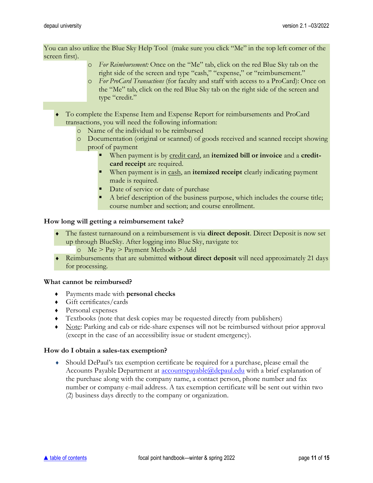You can also utilize the Blue Sky Help Tool (make sure you click "Me" in the top left corner of the screen first).

- o *For Reimbursement:* Once on the "Me" tab, click on the red Blue Sky tab on the right side of the screen and type "cash," "expense," or "reimbursement."
- o *For ProCard Transactions* (for faculty and staff with access to a ProCard): Once on the "Me" tab, click on the red Blue Sky tab on the right side of the screen and type "credit."
- To complete the Expense Item and Expense Report for reimbursements and ProCard transactions, you will need the following information:
	- o Name of the individual to be reimbursed
	- o Documentation (original or scanned) of goods received and scanned receipt showing proof of payment
		- **.** When payment is by credit card, an **itemized bill or invoice** and a **creditcard receipt** are required.
		- When payment is in cash, an **itemized receipt** clearly indicating payment made is required.
		- Date of service or date of purchase
		- A brief description of the business purpose, which includes the course title; course number and section; and course enrollment.

#### **How long will getting a reimbursement take?**

- The fastest turnaround on a reimbursement is via **direct deposit**. Direct Deposit is now set up through BlueSky. After logging into Blue Sky, navigate to:
	- o Me > Pay > Payment Methods > Add
- Reimbursements that are submitted **without direct deposit** will need approximately 21 days for processing.

#### **What cannot be reimbursed?**

- ♦ Payments made with **personal checks**
- ♦ Gift certificates/cards
- ♦ Personal expenses
- ♦ Textbooks (note that desk copies may be requested directly from publishers)
- ♦ Note: Parking and cab or ride-share expenses will not be reimbursed without prior approval (except in the case of an accessibility issue or student emergency).

#### **How do I obtain a sales-tax exemption?**

 Should DePaul's tax exemption certificate be required for a purchase, please email the Accounts Payable Department at [accountspayable@depaul.edu](mailto:accountspayable@depaul.edu) with a brief explanation of the purchase along with the company name, a contact person, phone number and fax number or company e-mail address. A tax exemption certificate will be sent out within two (2) business days directly to the company or organization.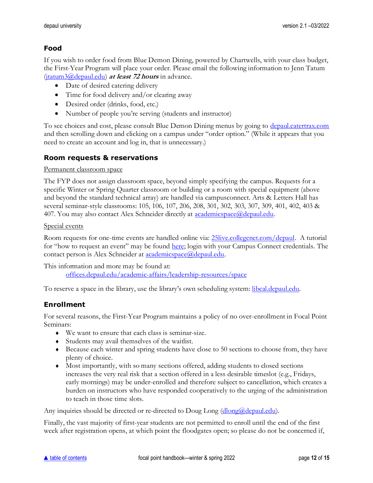# **Food**

If you wish to order food from Blue Demon Dining, powered by Chartwells, with your class budget, the First-Year Program will place your order. Please email the following information to Jenn Tatum [\(jtatum3@depaul.edu\)](mailto:jtatum3@depaul.edu) **at least 72 hours** in advance.

- Date of desired catering delivery
- Time for food delivery and/or clearing away
- Desired order (drinks, food, etc.)
- Number of people you're serving (students and instructor)

To see choices and cost, please consult Blue Demon Dining menus by going to [depaul.catertrax.com](https://depaul.catertrax.com/) and then scrolling down and clicking on a campus under "order option." (While it appears that you need to create an account and log in, that is unnecessary.)

# <span id="page-11-0"></span>**Room requests & reservations**

#### Permanent classroom space

The FYP does not assign classroom space, beyond simply specifying the campus. Requests for a specific Winter or Spring Quarter classroom or building or a room with special equipment (above and beyond the standard technical array) are handled via campusconnect. Arts & Letters Hall has several seminar-style classrooms: 105, 106, 107, 206, 208, 301, 302, 303, 307, 309, 401, 402, 403 & 407. You may also contact Alex Schneider directly at <u>academicspace@depaul.edu</u>.

#### Special events

Room requests for one-time events are handled online via[: 25live.collegenet.com/depaul.](https://25live.collegenet.com/depaul) A tutorial for "how to request an event" may be found [here;](https://academics.depaul.edu/liberal-studies/first-year-program/for-faculty/Documents/2016-2017/How_to_Request_an_Event_Tutorial.pdf) login with your Campus Connect credentials. The contact person is Alex Schneider at **academicspace**@depaul.edu.

This information and more may be found at: [offices.depaul.edu/academic-affairs/leadership-resources/space](https://offices.depaul.edu/academic-affairs/leadership-resources/space/Pages/default.aspx)

To reserve a space in the library, use the library's own scheduling system: [libcal.depaul.edu.](http://libcal.depaul.edu/)

### <span id="page-11-1"></span>**Enrollment**

For several reasons, the First-Year Program maintains a policy of no over-enrollment in Focal Point Seminars:

- We want to ensure that each class is seminar-size.
- Students may avail themselves of the waitlist.
- Because each winter and spring students have close to 50 sections to choose from, they have plenty of choice.
- Most importantly, with so many sections offered, adding students to closed sections increases the very real risk that a section offered in a less desirable timeslot (e.g., Fridays, early mornings) may be under-enrolled and therefore subject to cancellation, which creates a burden on instructors who have responded cooperatively to the urging of the administration to teach in those time slots.

Any inquiries should be directed or re-directed to Doug Long [\(dlong@depaul.edu\)](mailto:dlong@depaul.edu).

Finally, the vast majority of first-year students are not permitted to enroll until the end of the first week after registration opens, at which point the floodgates open; so please do not be concerned if,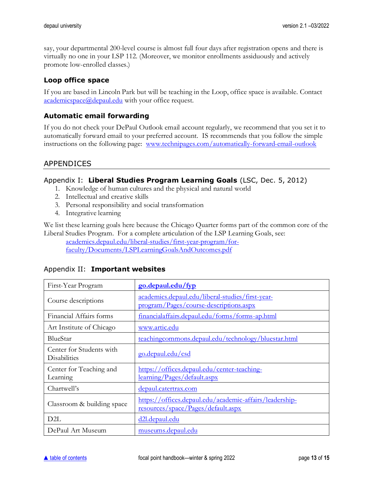say, your departmental 200-level course is almost full four days after registration opens and there is virtually no one in your LSP 112. (Moreover, we monitor enrollments assiduously and actively promote low-enrolled classes.)

# <span id="page-12-0"></span>**Loop office space**

If you are based in Lincoln Park but will be teaching in the Loop, office space is available. Contact [academicspace@depaul.edu](mailto:academicspace@depaul.edu) with your office request.

# <span id="page-12-1"></span>**Automatic email forwarding**

If you do not check your DePaul Outlook email account regularly, we recommend that you set it to automatically forward email to your preferred account. IS recommends that you follow the simple instructions on the following page: [www.technipages.com/automatically-forward-email-outlook](http://www.technipages.com/automatically-forward-email-outlook)

# APPENDICES

#### <span id="page-12-2"></span>Appendix I: **Liberal Studies Program Learning Goals** (LSC, Dec. 5, 2012)

- 1. Knowledge of human cultures and the physical and natural world
- 2. Intellectual and creative skills
- 3. Personal responsibility and social transformation
- 4. Integrative learning

We list these learning goals here because the Chicago Quarter forms part of the common core of the Liberal Studies Program. For a complete articulation of the LSP Learning Goals, see:

[academics.depaul.edu/liberal-studies/first-year-program/for](http://academics.depaul.edu/liberal-studies/first-year-program/for-faculty/Documents/LSPLearningGoalsAndOutcomes.pdf)[faculty/Documents/LSPLearningGoalsAndOutcomes.pdf](http://academics.depaul.edu/liberal-studies/first-year-program/for-faculty/Documents/LSPLearningGoalsAndOutcomes.pdf)

| First-Year Program                              | go.depaul.edu/fyp                                                                             |
|-------------------------------------------------|-----------------------------------------------------------------------------------------------|
| Course descriptions                             | academics.depaul.edu/liberal-studies/first-year-<br>program/Pages/course-descriptions.aspx    |
| Financial Affairs forms                         | financialaffairs.depaul.edu/forms/forms-ap.html                                               |
| Art Institute of Chicago                        | www.artic.edu                                                                                 |
| BlueStar                                        | teachingcommons.depaul.edu/technology/bluestar.html                                           |
| Center for Students with<br><b>Disabilities</b> | go.depaul.edu/csd                                                                             |
| Center for Teaching and<br>Learning             | https://offices.depaul.edu/center-teaching-<br>learning/Pages/default.aspx                    |
| Chartwell's                                     | <u>depaul.catertrax.com</u>                                                                   |
| Classroom & building space                      | https://offices.depaul.edu/academic-affairs/leadership-<br>resources/space/Pages/default.aspx |
| D2L                                             | d2l.depaul.edu                                                                                |
| DePaul Art Museum                               | museums.depaul.edu                                                                            |

#### <span id="page-12-3"></span>Appendix II: **Important websites**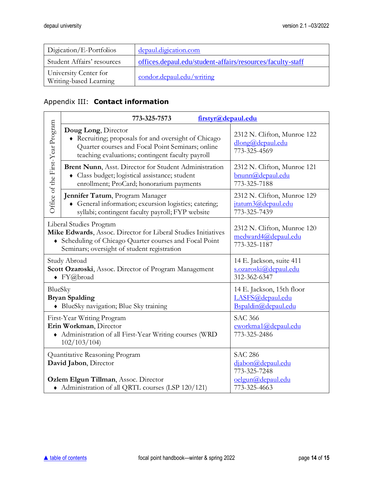| Digication/E-Portfolios                         | depaul.digication.com                                      |
|-------------------------------------------------|------------------------------------------------------------|
| Student Affairs' resources                      | offices.depaul.edu/student-affairs/resources/faculty-staff |
| University Center for<br>Writing-based Learning | condor.depaul.edu/writing                                  |

# <span id="page-13-0"></span>Appendix III: **Contact information**

|                                                                                                                                | firstyr@depaul.edu<br>773-325-7573                                                                                                                                                                 |                                                                      |
|--------------------------------------------------------------------------------------------------------------------------------|----------------------------------------------------------------------------------------------------------------------------------------------------------------------------------------------------|----------------------------------------------------------------------|
| Office of the First-Year Program                                                                                               | Doug Long, Director<br>• Recruiting; proposals for and oversight of Chicago<br>Quarter courses and Focal Point Seminars; online<br>teaching evaluations; contingent faculty payroll                | 2312 N. Clifton, Munroe 122<br>dlong@depaul.edu<br>773-325-4569      |
|                                                                                                                                | Brent Nunn, Asst. Director for Student Administration<br>• Class budget; logistical assistance; student<br>enrollment; ProCard; honorarium payments                                                | 2312 N. Clifton, Munroe 121<br>bnunn@depaul.edu<br>773-325-7188      |
|                                                                                                                                | Jennifer Tatum, Program Manager<br>• General information; excursion logistics; catering;<br>syllabi; contingent faculty payroll; FYP website                                                       | 2312 N. Clifton, Munroe 129<br>itatum3@depaul.edu<br>773-325-7439    |
|                                                                                                                                | Liberal Studies Program<br>Mike Edwards, Assoc. Director for Liberal Studies Initiatives<br>• Scheduling of Chicago Quarter courses and Focal Point<br>Seminars; oversight of student registration | 2312 N. Clifton, Munroe 120<br>medward4@depaul.edu<br>773-325-1187   |
| Study Abroad<br>Scott Ozaroski, Assoc. Director of Program Management<br>$\blacklozenge$ FY@broad                              |                                                                                                                                                                                                    | 14 E. Jackson, suite 411<br>s.ozaroski@depaul.edu<br>312-362-6347    |
| BlueSky<br><b>Bryan Spalding</b><br>• BlueSky navigation; Blue Sky training                                                    |                                                                                                                                                                                                    | 14 E. Jackson, 15th floor<br>LASFS@depaul.edu<br>Bspaldin@depaul.edu |
| First-Year Writing Program<br>Erin Workman, Director<br>• Administration of all First-Year Writing courses (WRD<br>102/103/104 |                                                                                                                                                                                                    | <b>SAC 366</b><br>eworkma1@depaul.edu<br>773-325-2486                |
| Quantitative Reasoning Program<br>David Jabon, Director                                                                        |                                                                                                                                                                                                    | <b>SAC 286</b><br>djabon@depaul.edu<br>773-325-7248                  |
| Ozlem Elgun Tillman, Assoc. Director<br>• Administration of all QRTL courses (LSP 120/121)                                     |                                                                                                                                                                                                    | oelgun@depaul.edu<br>773-325-4663                                    |